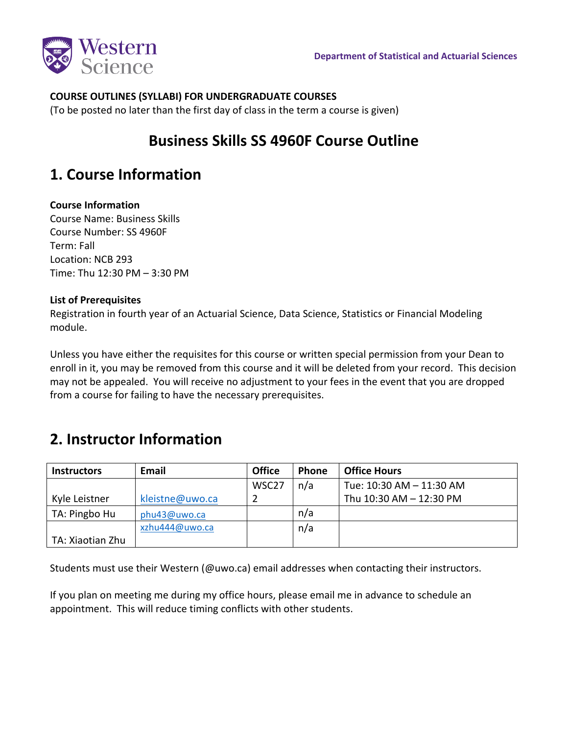

### **COURSE OUTLINES (SYLLABI) FOR UNDERGRADUATE COURSES**

(To be posted no later than the first day of class in the term a course is given)

## **Business Skills SS 4960F Course Outline**

## **1. Course Information**

### **Course Information**

Course Name: Business Skills Course Number: SS 4960F Term: Fall Location: NCB 293 Time: Thu 12:30 PM – 3:30 PM

### **List of Prerequisites**

Registration in fourth year of an Actuarial Science, Data Science, Statistics or Financial Modeling module.

Unless you have either the requisites for this course or written special permission from your Dean to enroll in it, you may be removed from this course and it will be deleted from your record. This decision may not be appealed. You will receive no adjustment to your fees in the event that you are dropped from a course for failing to have the necessary prerequisites.

## **2. Instructor Information**

| <b>Instructors</b> | Email           | <b>Office</b>     | <b>Phone</b> | <b>Office Hours</b>      |
|--------------------|-----------------|-------------------|--------------|--------------------------|
|                    |                 | WSC <sub>27</sub> | n/a          | Tue: 10:30 AM - 11:30 AM |
| Kyle Leistner      | kleistne@uwo.ca |                   |              | Thu 10:30 AM - 12:30 PM  |
| TA: Pingbo Hu      | phu43@uwo.ca    |                   | n/a          |                          |
|                    | xzhu444@uwo.ca  |                   | n/a          |                          |
| TA: Xiaotian Zhu   |                 |                   |              |                          |

Students must use their Western (@uwo.ca) email addresses when contacting their instructors.

If you plan on meeting me during my office hours, please email me in advance to schedule an appointment. This will reduce timing conflicts with other students.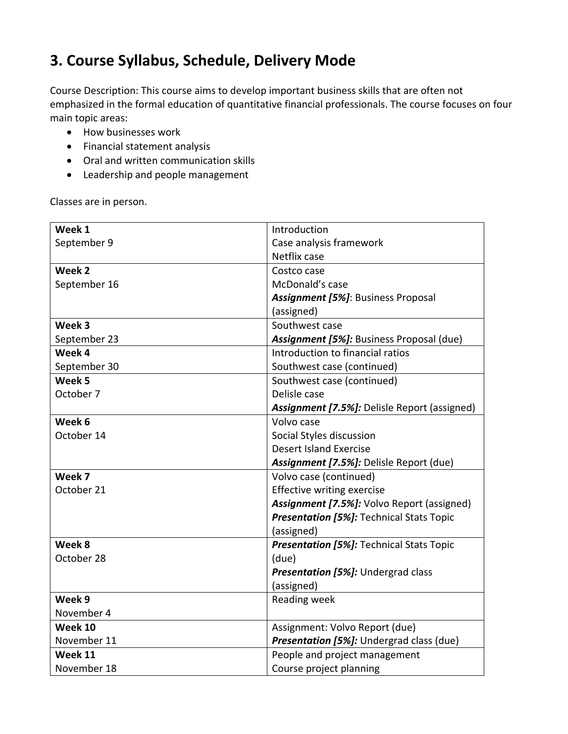# **3. Course Syllabus, Schedule, Delivery Mode**

Course Description: This course aims to develop important business skills that are often not emphasized in the formal education of quantitative financial professionals. The course focuses on four main topic areas:

- How businesses work
- Financial statement analysis
- Oral and written communication skills
- Leadership and people management

Classes are in person.

| Week 1       | Introduction                                    |  |
|--------------|-------------------------------------------------|--|
| September 9  | Case analysis framework                         |  |
|              | Netflix case                                    |  |
| Week 2       | Costco case                                     |  |
| September 16 | McDonald's case                                 |  |
|              | <b>Assignment [5%]: Business Proposal</b>       |  |
|              | (assigned)                                      |  |
| Week 3       | Southwest case                                  |  |
| September 23 | Assignment [5%]: Business Proposal (due)        |  |
| Week 4       | Introduction to financial ratios                |  |
| September 30 | Southwest case (continued)                      |  |
| Week 5       | Southwest case (continued)                      |  |
| October 7    | Delisle case                                    |  |
|              | Assignment [7.5%]: Delisle Report (assigned)    |  |
| Week 6       | Volvo case                                      |  |
| October 14   | Social Styles discussion                        |  |
|              | <b>Desert Island Exercise</b>                   |  |
|              | Assignment [7.5%]: Delisle Report (due)         |  |
| Week 7       | Volvo case (continued)                          |  |
| October 21   | <b>Effective writing exercise</b>               |  |
|              | Assignment [7.5%]: Volvo Report (assigned)      |  |
|              | <b>Presentation [5%]: Technical Stats Topic</b> |  |
|              | (assigned)                                      |  |
| Week 8       | <b>Presentation [5%]: Technical Stats Topic</b> |  |
| October 28   | (due)                                           |  |
|              | <b>Presentation [5%]:</b> Undergrad class       |  |
|              | (assigned)                                      |  |
| Week 9       | Reading week                                    |  |
| November 4   |                                                 |  |
| Week 10      | Assignment: Volvo Report (due)                  |  |
| November 11  | Presentation [5%]: Undergrad class (due)        |  |
| Week 11      | People and project management                   |  |
| November 18  | Course project planning                         |  |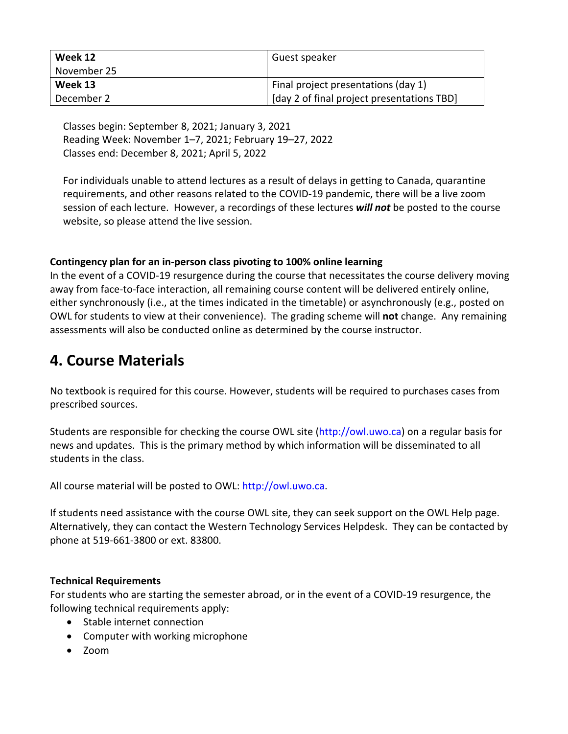| Week 12     | Guest speaker                              |
|-------------|--------------------------------------------|
| November 25 |                                            |
| Week 13     | Final project presentations (day 1)        |
| December 2  | [day 2 of final project presentations TBD] |

Classes begin: September 8, 2021; January 3, 2021 Reading Week: November 1–7, 2021; February 19–27, 2022 Classes end: December 8, 2021; April 5, 2022

For individuals unable to attend lectures as a result of delays in getting to Canada, quarantine requirements, and other reasons related to the COVID-19 pandemic, there will be a live zoom session of each lecture. However, a recordings of these lectures *will not* be posted to the course website, so please attend the live session.

### **Contingency plan for an in-person class pivoting to 100% online learning**

In the event of a COVID-19 resurgence during the course that necessitates the course delivery moving away from face-to-face interaction, all remaining course content will be delivered entirely online, either synchronously (i.e., at the times indicated in the timetable) or asynchronously (e.g., posted on OWL for students to view at their convenience). The grading scheme will **not** change. Any remaining assessments will also be conducted online as determined by the course instructor.

## **4. Course Materials**

No textbook is required for this course. However, students will be required to purchases cases from prescribed sources.

Students are responsible for checking the course OWL site (http://owl.uwo.ca) on a regular basis for news and updates. This is the primary method by which information will be disseminated to all students in the class.

All course material will be posted to OWL: http://owl.uwo.ca.

If students need assistance with the course OWL site, they can seek support on the OWL Help page. Alternatively, they can contact the Western Technology Services Helpdesk. They can be contacted by phone at 519-661-3800 or ext. 83800.

### **Technical Requirements**

For students who are starting the semester abroad, or in the event of a COVID-19 resurgence, the following technical requirements apply:

- Stable internet connection
- Computer with working microphone
- Zoom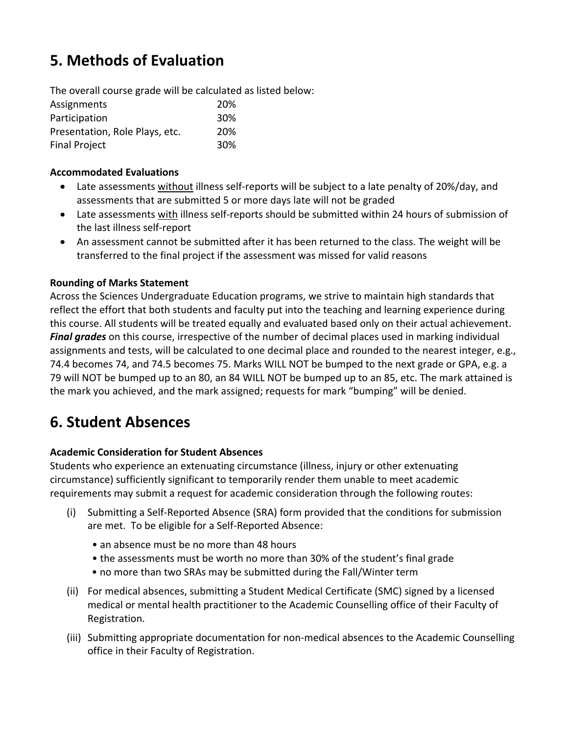# **5. Methods of Evaluation**

The overall course grade will be calculated as listed below:

| Assignments                    | <b>20%</b> |
|--------------------------------|------------|
| Participation                  | 30%        |
| Presentation, Role Plays, etc. | <b>20%</b> |
| <b>Final Project</b>           | 30%        |

### **Accommodated Evaluations**

- Late assessments without illness self-reports will be subject to a late penalty of 20%/day, and assessments that are submitted 5 or more days late will not be graded
- Late assessments with illness self-reports should be submitted within 24 hours of submission of the last illness self-report
- An assessment cannot be submitted after it has been returned to the class. The weight will be transferred to the final project if the assessment was missed for valid reasons

### **Rounding of Marks Statement**

Across the Sciences Undergraduate Education programs, we strive to maintain high standards that reflect the effort that both students and faculty put into the teaching and learning experience during this course. All students will be treated equally and evaluated based only on their actual achievement. *Final grades* on this course, irrespective of the number of decimal places used in marking individual assignments and tests, will be calculated to one decimal place and rounded to the nearest integer, e.g., 74.4 becomes 74, and 74.5 becomes 75. Marks WILL NOT be bumped to the next grade or GPA, e.g. a 79 will NOT be bumped up to an 80, an 84 WILL NOT be bumped up to an 85, etc. The mark attained is the mark you achieved, and the mark assigned; requests for mark "bumping" will be denied.

## **6. Student Absences**

### **Academic Consideration for Student Absences**

Students who experience an extenuating circumstance (illness, injury or other extenuating circumstance) sufficiently significant to temporarily render them unable to meet academic requirements may submit a request for academic consideration through the following routes:

- (i) Submitting a Self-Reported Absence (SRA) form provided that the conditions for submission are met. To be eligible for a Self-Reported Absence:
	- an absence must be no more than 48 hours
	- the assessments must be worth no more than 30% of the student's final grade
	- no more than two SRAs may be submitted during the Fall/Winter term
- (ii) For medical absences, submitting a Student Medical Certificate (SMC) signed by a licensed medical or mental health practitioner to the Academic Counselling office of their Faculty of Registration.
- (iii) Submitting appropriate documentation for non-medical absences to the Academic Counselling office in their Faculty of Registration.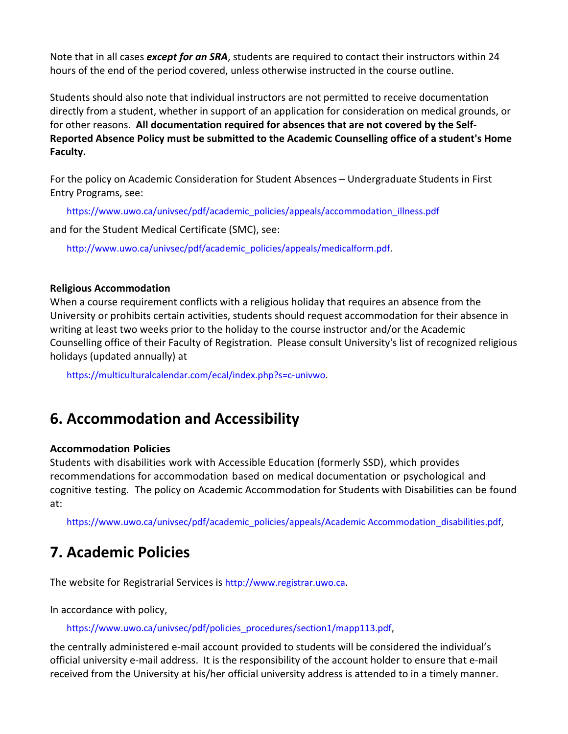Note that in all cases *except for an SRA*, students are required to contact their instructors within 24 hours of the end of the period covered, unless otherwise instructed in the course outline.

Students should also note that individual instructors are not permitted to receive documentation directly from a student, whether in support of an application for consideration on medical grounds, or for other reasons. **All documentation required for absences that are not covered by the Self-Reported Absence Policy must be submitted to the Academic Counselling office of a student's Home Faculty.**

For the policy on Academic Consideration for Student Absences – Undergraduate Students in First Entry Programs, see:

https://www.uwo.ca/univsec/pdf/academic\_policies/appeals/accommodation\_illness.pdf

and for the Student Medical Certificate (SMC), see:

http://www.uwo.ca/univsec/pdf/academic\_policies/appeals/medicalform.pdf.

#### **Religious Accommodation**

When a course requirement conflicts with a religious holiday that requires an absence from the University or prohibits certain activities, students should request accommodation for their absence in writing at least two weeks prior to the holiday to the course instructor and/or the Academic Counselling office of their Faculty of Registration. Please consult University's list of recognized religious holidays (updated annually) at

https://multiculturalcalendar.com/ecal/index.php?s=c-univwo.

### **6. Accommodation and Accessibility**

#### **Accommodation Policies**

Students with disabilities work with Accessible Education (formerly SSD), which provides recommendations for accommodation based on medical documentation or psychological and cognitive testing. The policy on Academic Accommodation for Students with Disabilities can be found at:

https://www.uwo.ca/univsec/pdf/academic\_policies/appeals/Academic Accommodation\_disabilities.pdf,

### **7. Academic Policies**

The website for Registrarial Services is http://www.registrar.uwo.ca.

In accordance with policy,

https://www.uwo.ca/univsec/pdf/policies\_procedures/section1/mapp113.pdf,

the centrally administered e-mail account provided to students will be considered the individual's official university e-mail address. It is the responsibility of the account holder to ensure that e-mail received from the University at his/her official university address is attended to in a timely manner.